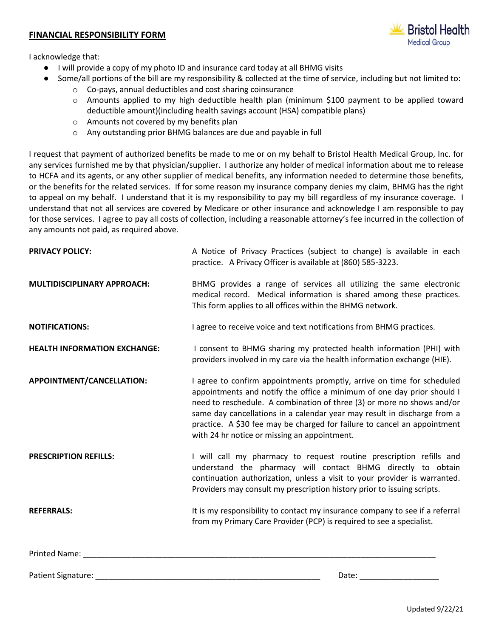## **FINANCIAL RESPONSIBILITY FORM**



I acknowledge that:

- I will provide a copy of my photo ID and insurance card today at all BHMG visits
- Some/all portions of the bill are my responsibility & collected at the time of service, including but not limited to:
	- o Co-pays, annual deductibles and cost sharing coinsurance
	- o Amounts applied to my high deductible health plan (minimum \$100 payment to be applied toward deductible amount)(including health savings account (HSA) compatible plans)
	- o Amounts not covered by my benefits plan
	- o Any outstanding prior BHMG balances are due and payable in full

I request that payment of authorized benefits be made to me or on my behalf to Bristol Health Medical Group, Inc. for any services furnished me by that physician/supplier. I authorize any holder of medical information about me to release to HCFA and its agents, or any other supplier of medical benefits, any information needed to determine those benefits, or the benefits for the related services. If for some reason my insurance company denies my claim, BHMG has the right to appeal on my behalf. I understand that it is my responsibility to pay my bill regardless of my insurance coverage. I understand that not all services are covered by Medicare or other insurance and acknowledge I am responsible to pay for those services. I agree to pay all costs of collection, including a reasonable attorney's fee incurred in the collection of any amounts not paid, as required above.

| <b>PRIVACY POLICY:</b>              | A Notice of Privacy Practices (subject to change) is available in each<br>practice. A Privacy Officer is available at (860) 585-3223.                                                                                                                                                                                                                                                                                              |
|-------------------------------------|------------------------------------------------------------------------------------------------------------------------------------------------------------------------------------------------------------------------------------------------------------------------------------------------------------------------------------------------------------------------------------------------------------------------------------|
| <b>MULTIDISCIPLINARY APPROACH:</b>  | BHMG provides a range of services all utilizing the same electronic<br>medical record. Medical information is shared among these practices.<br>This form applies to all offices within the BHMG network.                                                                                                                                                                                                                           |
| <b>NOTIFICATIONS:</b>               | I agree to receive voice and text notifications from BHMG practices.                                                                                                                                                                                                                                                                                                                                                               |
| <b>HEALTH INFORMATION EXCHANGE:</b> | I consent to BHMG sharing my protected health information (PHI) with<br>providers involved in my care via the health information exchange (HIE).                                                                                                                                                                                                                                                                                   |
| APPOINTMENT/CANCELLATION:           | I agree to confirm appointments promptly, arrive on time for scheduled<br>appointments and notify the office a minimum of one day prior should I<br>need to reschedule. A combination of three (3) or more no shows and/or<br>same day cancellations in a calendar year may result in discharge from a<br>practice. A \$30 fee may be charged for failure to cancel an appointment<br>with 24 hr notice or missing an appointment. |
| <b>PRESCRIPTION REFILLS:</b>        | I will call my pharmacy to request routine prescription refills and<br>understand the pharmacy will contact BHMG directly to obtain<br>continuation authorization, unless a visit to your provider is warranted.<br>Providers may consult my prescription history prior to issuing scripts.                                                                                                                                        |
| <b>REFERRALS:</b>                   | It is my responsibility to contact my insurance company to see if a referral<br>from my Primary Care Provider (PCP) is required to see a specialist.                                                                                                                                                                                                                                                                               |
| Printed Name:                       |                                                                                                                                                                                                                                                                                                                                                                                                                                    |

Patient Signature: \_\_\_\_\_\_\_\_\_\_\_\_\_\_\_\_\_\_\_\_\_\_\_\_\_\_\_\_\_\_\_\_\_\_\_\_\_\_\_\_\_\_\_\_\_\_\_\_\_\_\_ Date: \_\_\_\_\_\_\_\_\_\_\_\_\_\_\_\_\_\_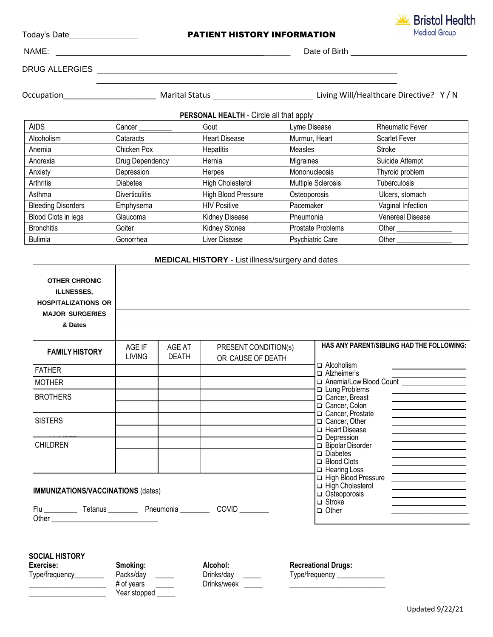| Today's Date_________________<br>Marital Status The Status Eiving Will/Healthcare Directive? Y/N |                        |                                           |                         | Date of Birth <b>Example 20</b>                            |                                                                                                                               |
|--------------------------------------------------------------------------------------------------|------------------------|-------------------------------------------|-------------------------|------------------------------------------------------------|-------------------------------------------------------------------------------------------------------------------------------|
|                                                                                                  |                        |                                           |                         |                                                            |                                                                                                                               |
|                                                                                                  |                        |                                           |                         |                                                            |                                                                                                                               |
| Occupation<br><b>AIDS</b>                                                                        |                        |                                           |                         |                                                            |                                                                                                                               |
|                                                                                                  |                        |                                           |                         |                                                            |                                                                                                                               |
|                                                                                                  |                        | PERSONAL HEALTH - Circle all that apply   |                         |                                                            |                                                                                                                               |
|                                                                                                  | Cancer                 | Gout                                      | Lyme Disease            |                                                            | <b>Rheumatic Fever</b>                                                                                                        |
| Alcoholism<br>Cataracts                                                                          |                        | <b>Heart Disease</b>                      | Murmur, Heart           |                                                            | Scarlet Fever                                                                                                                 |
| Chicken Pox<br>Anemia                                                                            |                        | Hepatitis                                 | Measles                 |                                                            | Stroke                                                                                                                        |
| Anorexia<br>Drug Dependency                                                                      |                        | Hernia                                    | Migraines               |                                                            | Suicide Attempt                                                                                                               |
| Depression<br>Anxiety                                                                            |                        | Herpes                                    | Mononucleosis           |                                                            | Thyroid problem                                                                                                               |
| <b>Diabetes</b><br>Arthritis                                                                     |                        | <b>High Cholesterol</b>                   | Multiple Sclerosis      |                                                            | Tuberculosis                                                                                                                  |
| Asthma<br><b>Diverticulitis</b>                                                                  |                        | <b>High Blood Pressure</b>                | Osteoporosis            |                                                            | Ulcers, stomach                                                                                                               |
| <b>Bleeding Disorders</b><br>Emphysema                                                           |                        | <b>HIV Positive</b>                       | Pacemaker               |                                                            | Vaginal Infection                                                                                                             |
| Blood Clots in legs<br>Glaucoma                                                                  |                        | Kidney Disease                            | Pneumonia               |                                                            | <b>Venereal Disease</b>                                                                                                       |
| <b>Bronchitis</b><br>Goiter                                                                      |                        | Kidney Stones                             | Prostate Problems       |                                                            | Other                                                                                                                         |
| <b>Bulimia</b><br>Gonorrhea                                                                      |                        | Liver Disease                             | <b>Psychiatric Care</b> |                                                            | Other                                                                                                                         |
| <b>ILLNESSES,</b><br><b>HOSPITALIZATIONS OR</b><br><b>MAJOR SURGERIES</b><br>& Dates             |                        |                                           |                         |                                                            |                                                                                                                               |
|                                                                                                  |                        |                                           |                         |                                                            |                                                                                                                               |
| AGE IF<br><b>FAMILY HISTORY</b><br><b>LIVING</b>                                                 | AGE AT<br><b>DEATH</b> | PRESENT CONDITION(s)<br>OR CAUSE OF DEATH |                         |                                                            | HAS ANY PARENT/SIBLING HAD THE FOLLOWING:                                                                                     |
| <b>FATHER</b>                                                                                    |                        |                                           |                         | $\Box$ Alcoholism<br>□ Alzheimer's                         |                                                                                                                               |
| <b>MOTHER</b>                                                                                    |                        |                                           |                         |                                                            | □ Alzheimer's<br>□ Anemia/Low Blood Count __________________                                                                  |
| <b>BROTHERS</b>                                                                                  |                        |                                           |                         | □ Lung Problems<br>Cancer, Breast<br>Cancer, Colon         | <u> 1989 - Johann Barn, mars eta bainar eta idazlea (</u><br><u> 1989 - Jan James James Barnett, fransk politik (d. 1989)</u> |
| <b>SISTERS</b>                                                                                   |                        |                                           |                         | □ Cancer, Prostate<br>□ Cancer, Other<br>□ Heart Disease   | <u> 1980 - Jan James Barnett, fransk politik (d. 1980)</u>                                                                    |
| <b>CHILDREN</b>                                                                                  |                        |                                           |                         | $\Box$ Depression<br>□ Bipolar Disorder<br>$\Box$ Diabetes | <u> 1989 - Johann Barn, mars eta bainar eta idazlea (</u>                                                                     |

| <b>SOCIAL HISTORY</b> |  |
|-----------------------|--|
|-----------------------|--|

Other \_\_\_\_\_\_\_\_\_\_\_\_\_\_\_\_\_\_\_\_\_\_\_\_\_\_\_\_\_

| Exercise:       | Smoking:                | Alcohol:                  | <b>Recreational Drugs:</b> |
|-----------------|-------------------------|---------------------------|----------------------------|
| Type/frequency_ | Packs/day<br># of years | Drinks/day<br>Drinks/week | Type/frequency_            |
|                 | Year stopped            |                           |                            |